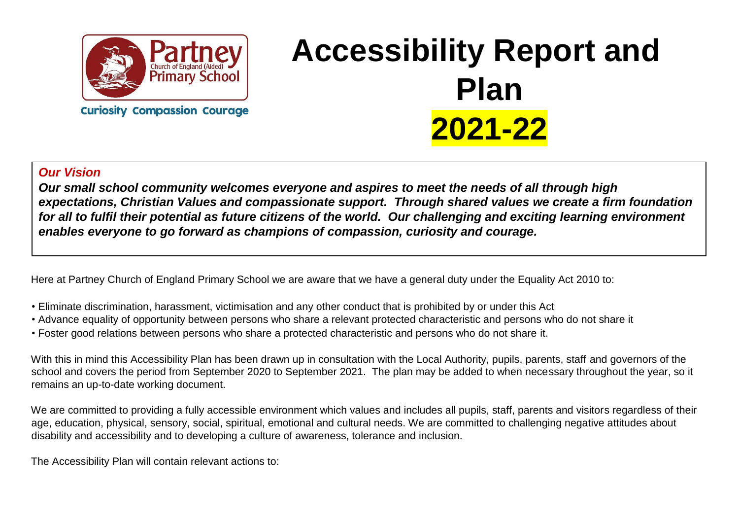

**Curiosity Compassion Courage** 

# **Accessibility Report and Plan 2021-22**

#### *Our Vision*

*Our small school community welcomes everyone and aspires to meet the needs of all through high expectations, Christian Values and compassionate support. Through shared values we create a firm foundation for all to fulfil their potential as future citizens of the world. Our challenging and exciting learning environment enables everyone to go forward as champions of compassion, curiosity and courage.* 

Here at Partney Church of England Primary School we are aware that we have a general duty under the Equality Act 2010 to:

- Eliminate discrimination, harassment, victimisation and any other conduct that is prohibited by or under this Act
- Advance equality of opportunity between persons who share a relevant protected characteristic and persons who do not share it
- Foster good relations between persons who share a protected characteristic and persons who do not share it.

With this in mind this Accessibility Plan has been drawn up in consultation with the Local Authority, pupils, parents, staff and governors of the school and covers the period from September 2020 to September 2021. The plan may be added to when necessary throughout the year, so it remains an up-to-date working document.

We are committed to providing a fully accessible environment which values and includes all pupils, staff, parents and visitors regardless of their age, education, physical, sensory, social, spiritual, emotional and cultural needs. We are committed to challenging negative attitudes about disability and accessibility and to developing a culture of awareness, tolerance and inclusion.

The Accessibility Plan will contain relevant actions to: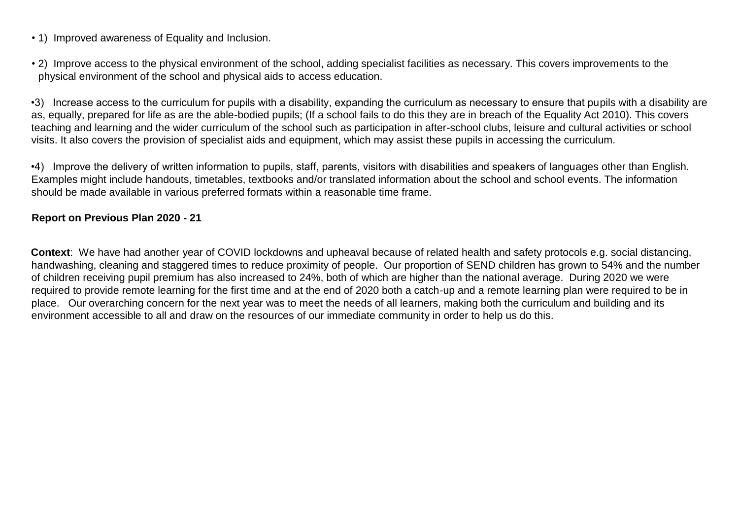- 1) Improved awareness of Equality and Inclusion.
- 2) Improve access to the physical environment of the school, adding specialist facilities as necessary. This covers improvements to the physical environment of the school and physical aids to access education.

•3) Increase access to the curriculum for pupils with a disability, expanding the curriculum as necessary to ensure that pupils with a disability are as, equally, prepared for life as are the able-bodied pupils; (If a school fails to do this they are in breach of the Equality Act 2010). This covers teaching and learning and the wider curriculum of the school such as participation in after-school clubs, leisure and cultural activities or school visits. It also covers the provision of specialist aids and equipment, which may assist these pupils in accessing the curriculum.

•4) Improve the delivery of written information to pupils, staff, parents, visitors with disabilities and speakers of languages other than English. Examples might include handouts, timetables, textbooks and/or translated information about the school and school events. The information should be made available in various preferred formats within a reasonable time frame.

#### **Report on Previous Plan 2020 - 21**

**Context**: We have had another year of COVID lockdowns and upheaval because of related health and safety protocols e.g. social distancing, handwashing, cleaning and staggered times to reduce proximity of people. Our proportion of SEND children has grown to 54% and the number of children receiving pupil premium has also increased to 24%, both of which are higher than the national average. During 2020 we were required to provide remote learning for the first time and at the end of 2020 both a catch-up and a remote learning plan were required to be in place. Our overarching concern for the next year was to meet the needs of all learners, making both the curriculum and building and its environment accessible to all and draw on the resources of our immediate community in order to help us do this.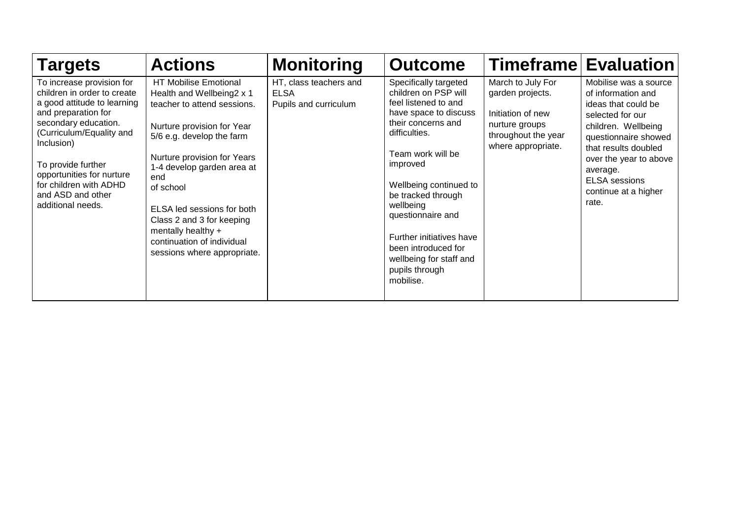| <b>Targets</b>                                                                                                                                                                                                                                                                                          | <b>Actions</b>                                                                                                                                                                                                                                                                                                                                                              | <b>Monitoring</b>                                              | <b>Outcome</b>                                                                                                                                                                                                                                                                                                                                                        |                                                                                                                           | <b>Timeframe Evaluation</b>                                                                                                                                                                                                                                  |
|---------------------------------------------------------------------------------------------------------------------------------------------------------------------------------------------------------------------------------------------------------------------------------------------------------|-----------------------------------------------------------------------------------------------------------------------------------------------------------------------------------------------------------------------------------------------------------------------------------------------------------------------------------------------------------------------------|----------------------------------------------------------------|-----------------------------------------------------------------------------------------------------------------------------------------------------------------------------------------------------------------------------------------------------------------------------------------------------------------------------------------------------------------------|---------------------------------------------------------------------------------------------------------------------------|--------------------------------------------------------------------------------------------------------------------------------------------------------------------------------------------------------------------------------------------------------------|
| To increase provision for<br>children in order to create<br>a good attitude to learning<br>and preparation for<br>secondary education.<br>(Curriculum/Equality and<br>Inclusion)<br>To provide further<br>opportunities for nurture<br>for children with ADHD<br>and ASD and other<br>additional needs. | HT Mobilise Emotional<br>Health and Wellbeing2 x 1<br>teacher to attend sessions.<br>Nurture provision for Year<br>5/6 e.g. develop the farm<br>Nurture provision for Years<br>1-4 develop garden area at<br>end<br>of school<br>ELSA led sessions for both<br>Class 2 and 3 for keeping<br>mentally healthy +<br>continuation of individual<br>sessions where appropriate. | HT, class teachers and<br><b>ELSA</b><br>Pupils and curriculum | Specifically targeted<br>children on PSP will<br>feel listened to and<br>have space to discuss<br>their concerns and<br>difficulties.<br>Team work will be<br>improved<br>Wellbeing continued to<br>be tracked through<br>wellbeing<br>questionnaire and<br>Further initiatives have<br>been introduced for<br>wellbeing for staff and<br>pupils through<br>mobilise. | March to July For<br>garden projects.<br>Initiation of new<br>nurture groups<br>throughout the year<br>where appropriate. | Mobilise was a source<br>of information and<br>ideas that could be<br>selected for our<br>children. Wellbeing<br>questionnaire showed<br>that results doubled<br>over the year to above<br>average.<br><b>ELSA</b> sessions<br>continue at a higher<br>rate. |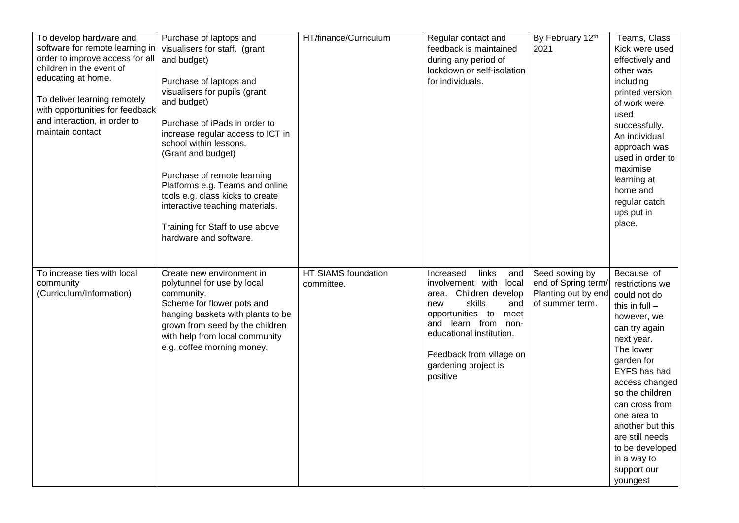| To develop hardware and<br>software for remote learning in<br>order to improve access for all<br>children in the event of<br>educating at home.<br>To deliver learning remotely<br>with opportunities for feedback<br>and interaction, in order to<br>maintain contact | Purchase of laptops and<br>visualisers for staff. (grant<br>and budget)<br>Purchase of laptops and<br>visualisers for pupils (grant<br>and budget)<br>Purchase of iPads in order to<br>increase regular access to ICT in<br>school within lessons.<br>(Grant and budget)<br>Purchase of remote learning<br>Platforms e.g. Teams and online<br>tools e.g. class kicks to create<br>interactive teaching materials.<br>Training for Staff to use above<br>hardware and software. | HT/finance/Curriculum             | Regular contact and<br>feedback is maintained<br>during any period of<br>lockdown or self-isolation<br>for individuals.                                                                                                                                    | By February 12th<br>2021                                                        | Teams, Class<br>Kick were used<br>effectively and<br>other was<br>including<br>printed version<br>of work were<br>used<br>successfully.<br>An individual<br>approach was<br>used in order to<br>maximise<br>learning at<br>home and<br>regular catch<br>ups put in<br>place.                                                         |
|------------------------------------------------------------------------------------------------------------------------------------------------------------------------------------------------------------------------------------------------------------------------|--------------------------------------------------------------------------------------------------------------------------------------------------------------------------------------------------------------------------------------------------------------------------------------------------------------------------------------------------------------------------------------------------------------------------------------------------------------------------------|-----------------------------------|------------------------------------------------------------------------------------------------------------------------------------------------------------------------------------------------------------------------------------------------------------|---------------------------------------------------------------------------------|--------------------------------------------------------------------------------------------------------------------------------------------------------------------------------------------------------------------------------------------------------------------------------------------------------------------------------------|
| To increase ties with local<br>community<br>(Curriculum/Information)                                                                                                                                                                                                   | Create new environment in<br>polytunnel for use by local<br>community.<br>Scheme for flower pots and<br>hanging baskets with plants to be<br>grown from seed by the children<br>with help from local community<br>e.g. coffee morning money.                                                                                                                                                                                                                                   | HT SIAMS foundation<br>committee. | links<br>Increased<br>and<br>involvement with<br>local<br>area. Children develop<br>skills<br>and<br>new<br>opportunities to<br>meet<br>and learn from<br>non-<br>educational institution.<br>Feedback from village on<br>gardening project is<br>positive | Seed sowing by<br>end of Spring term/<br>Planting out by end<br>of summer term. | Because of<br>restrictions we<br>could not do<br>this in $full -$<br>however, we<br>can try again<br>next year.<br>The lower<br>garden for<br>EYFS has had<br>access changed<br>so the children<br>can cross from<br>one area to<br>another but this<br>are still needs<br>to be developed<br>in a way to<br>support our<br>youngest |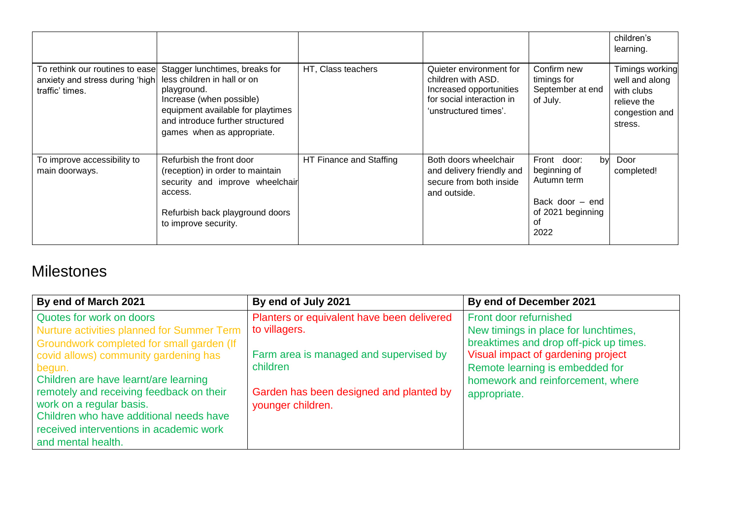|                                                                                       |                                                                                                                                                                                                                 |                         |                                                                                                                                |                                                                                                        | children's<br>learning.                                                                     |
|---------------------------------------------------------------------------------------|-----------------------------------------------------------------------------------------------------------------------------------------------------------------------------------------------------------------|-------------------------|--------------------------------------------------------------------------------------------------------------------------------|--------------------------------------------------------------------------------------------------------|---------------------------------------------------------------------------------------------|
| To rethink our routines to ease<br>anxiety and stress during 'high<br>traffic' times. | Stagger lunchtimes, breaks for<br>less children in hall or on<br>playground.<br>Increase (when possible)<br>equipment available for playtimes<br>and introduce further structured<br>games when as appropriate. | HT, Class teachers      | Quieter environment for<br>children with ASD.<br>Increased opportunities<br>for social interaction in<br>'unstructured times'. | Confirm new<br>timings for<br>September at end<br>of July.                                             | Timings working<br>well and along<br>with clubs<br>relieve the<br>congestion and<br>stress. |
| To improve accessibility to<br>main doorways.                                         | Refurbish the front door<br>(reception) in order to maintain<br>security and improve wheelchair<br>access.<br>Refurbish back playground doors<br>to improve security.                                           | HT Finance and Staffing | Both doors wheelchair<br>and delivery friendly and<br>secure from both inside<br>and outside.                                  | Front door:<br>by<br>beginning of<br>Autumn term<br>Back door – end<br>of 2021 beginning<br>0f<br>2022 | Door<br>completed!                                                                          |

### **Milestones**

| By end of March 2021                       | By end of July 2021                        | By end of December 2021                |
|--------------------------------------------|--------------------------------------------|----------------------------------------|
| Quotes for work on doors                   | Planters or equivalent have been delivered | Front door refurnished                 |
| Nurture activities planned for Summer Term | to villagers.                              | New timings in place for lunchtimes,   |
| Groundwork completed for small garden (If  |                                            | breaktimes and drop off-pick up times. |
| covid allows) community gardening has      | Farm area is managed and supervised by     | Visual impact of gardening project     |
| begun.                                     | children                                   | Remote learning is embedded for        |
| Children are have learnt/are learning      |                                            | homework and reinforcement, where      |
| remotely and receiving feedback on their   | Garden has been designed and planted by    | appropriate.                           |
| work on a regular basis.                   | younger children.                          |                                        |
| Children who have additional needs have    |                                            |                                        |
| received interventions in academic work    |                                            |                                        |
| and mental health.                         |                                            |                                        |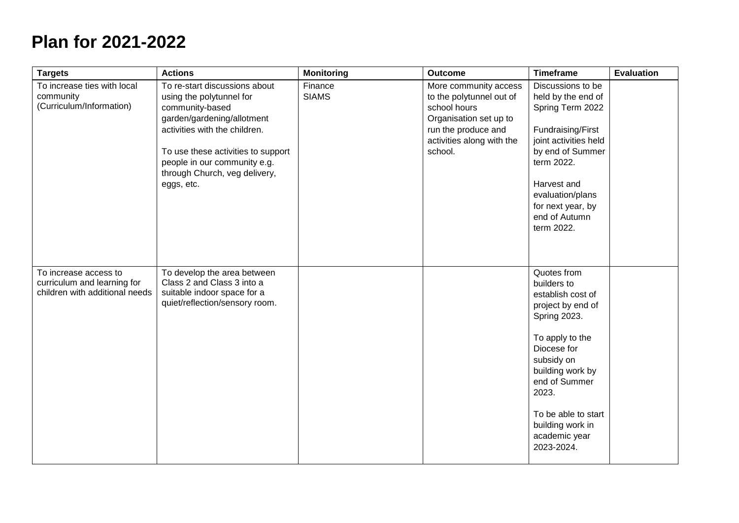## **Plan for 2021-2022**

| <b>Targets</b>                                                                         | <b>Actions</b>                                                                                                                                                                                                                                                   | <b>Monitoring</b>       | <b>Outcome</b>                                                                                                                                             | <b>Timeframe</b>                                                                                                                                                                                                                                                    | <b>Evaluation</b> |
|----------------------------------------------------------------------------------------|------------------------------------------------------------------------------------------------------------------------------------------------------------------------------------------------------------------------------------------------------------------|-------------------------|------------------------------------------------------------------------------------------------------------------------------------------------------------|---------------------------------------------------------------------------------------------------------------------------------------------------------------------------------------------------------------------------------------------------------------------|-------------------|
| To increase ties with local<br>community<br>(Curriculum/Information)                   | To re-start discussions about<br>using the polytunnel for<br>community-based<br>garden/gardening/allotment<br>activities with the children.<br>To use these activities to support<br>people in our community e.g.<br>through Church, veg delivery,<br>eggs, etc. | Finance<br><b>SIAMS</b> | More community access<br>to the polytunnel out of<br>school hours<br>Organisation set up to<br>run the produce and<br>activities along with the<br>school. | Discussions to be<br>held by the end of<br>Spring Term 2022<br>Fundraising/First<br>joint activities held<br>by end of Summer<br>term 2022.<br>Harvest and<br>evaluation/plans<br>for next year, by<br>end of Autumn<br>term 2022.                                  |                   |
| To increase access to<br>curriculum and learning for<br>children with additional needs | To develop the area between<br>Class 2 and Class 3 into a<br>suitable indoor space for a<br>quiet/reflection/sensory room.                                                                                                                                       |                         |                                                                                                                                                            | Quotes from<br>builders to<br>establish cost of<br>project by end of<br><b>Spring 2023.</b><br>To apply to the<br>Diocese for<br>subsidy on<br>building work by<br>end of Summer<br>2023.<br>To be able to start<br>building work in<br>academic year<br>2023-2024. |                   |